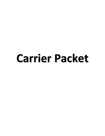# **Carrier Packet**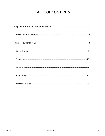## **TABLE OF CONTENTS**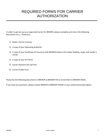# REQUIRED FORMS FOR CARRIER AUTHORIZATION

**\_\_\_\_\_\_\_\_\_\_\_\_\_\_\_\_\_\_\_\_\_\_\_\_\_\_\_\_\_\_\_\_\_\_\_\_\_\_\_\_\_\_\_\_\_\_\_\_\_\_\_\_\_\_\_\_\_\_\_\_\_\_\_\_\_\_\_\_\_\_\_\_\_\_\_\_**

In order to get set up as an approved Carrier for BROKER, please complete and return the following documents to us. Thank you.

- 1) Broker-Carrier Contract
- 2) A copy of your Operating Authority
- 3) A copy of your Certificate of Insurance with BROKER listed as the holder (liability, cargo, and worker's comp)
- 4) A copy of your W-9 form
- 5) Carrier Payment Set-Up Form
- 6) Carrier Profile Form

Please fax the following documents to BROKER at BROKER FAX or email them to BROKER EMAIL.

If you have any questions, please contact BROKER at BROKER PHONE or your authorized broker/agent.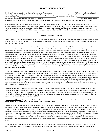#### **BROKER CARRIER CONTRACT**

| This Master Transportation Contract (hereinafter "Agreement"), effective as of                                                                    | , ("Effective Date") is made by and   |
|---------------------------------------------------------------------------------------------------------------------------------------------------|---------------------------------------|
| between (Tyger Logistics LLC). (hereinafter referred to collectively as "Broker"), one or more licensed transportation brokers that control their |                                       |
| Customer's freight and                                                                                                                            | (full carrier legal name) located in, |
| (city, state), a licensed motor carrier authorized by Permit No. MC                                                                               | that provides transportation          |
| and related services under contact (hereinafter "Carrier"), and their respective customers (hereinafter collectively referred to as "Customer").  |                                       |

The parties do hereby enter into this contact pursuant to 49 U.S.C. 14101 (b) for the purposes of providing and receiving specified services subject to specified rates and conditions, and under which the parties intend to waive certain rights and remedies permitted to be waived under the Interstate Commerce Act and all amendments thereto, including the ICC Termination Act, and Title 49 of the United States Code and all corresponding regulations, to the extent that any provision therein is inconsistent with any of the provision of this Contract. In consideration of the mutual promises and covenants set forth herein, the parties hereto agree as follows:

#### **GENERAL BUSINESS COVENANTS**

1. Term. The term of this Agreement shall commence on the Effective Date and shall continue thereafter from year to year until terminated by either party, with or without cause, on thirty (30) days prior written notice at any time and shall renew for successive one year periods without the proper notice by either party hereto.

2. Independent Contractor. Carrier understands and agrees that Carrier is an independent contractor of Broker and that Carrier has exclusive control and direction of the work Carrier performs pursuant to this Agreement and each Tender Document. Carrier represents that it is registered with FMCSA as a motor carrier in interstate, intrastate, and/or foreign commerce and is in all respect qualified to transport freight as required by Broker. Carrier agrees to assume full responsibility for the payment of all local, state, federal and provincial payroll taxes, and contributions or taxes for unemployment insurance, workers' compensation insurance, pensions, and other social security or related protection with respect to the persons engaged by Carrier for Carrier's performance of the transportation and related services for Broker or the Customer, and Carrier agrees to indemnify, defend and hold Broker and Customer(s) harmless therefrom. Carrier agrees to perform the services under this Agreement in accordance with the highest standards of the industry, operating under its own authority, using its own employees and using its own tractor unit. Carrier shall be wholly responsible for performing the contemplated transportation and for all costs and expenses of such transportation, including, without limitation, costs and expenses of all Carrier's transportation equipment, its maintenance, and those persons who operate it. In providing services, Carrier represents and warrants that the driver(s) utilized are competent and properly licensed, and are fully informed of their responsibilities for the protection and care of the involved commodities.

3. Compliance with Applicable Laws and Regulation.. Carrier warrants that (1) it is legally qualified to perform the contemplated transportation, (2) it does not have a "conditional" or "unsatisfactory" FMCSA safety rating, (3) maintains all applicable statutory and regulatory required insurance, and (4) it shall immediately notify Broker in writing of any adverse change in its safety rating or any suspension or revocation of its operation authorities. Carrier agrees to comply with all applicable provisions of any international, federal, provincial, state and/or local law, rules and regulations. Without limiting the foregoing, Carrier shall, at Carrier's expense, comply with all laws, rules and regulations (including, obtaining all permits and licenses) which are required for Carrier to provide Broker the transportation and related services under this Agreement. Carrier agrees not to accept a shipment from Broker if that shipment would require Carrier or any of its employees, agents or permitted subcontractors to exceed or violate any speed or safety law, rule or regulation.

4. Solicitation of Broker's Customers. Carrier shall not during the term of this Agreement and for six (6) months following the termination of this Agreement, directly or indirectly, solicit the traffic of the freight between the origins and destinations that were first offered to Carrier by Broker (hereinafter "Brokered Traffic"). If Carrier transports Brokered Traffic other than for Broker during the term of this Agreement and for Twelve (12) months following the termination of this Agreement, then Broker shall be immediately entitled to a commission of fifty percent (50%) on the rates and charges received by Carrier on such Brokered Traffic.

5. Successors and Assigns. This agreement shall be binding upon the successors and permitted assigns of the parties hereto. Carrier shall not assign this Agreement, or any part thereof, without the prior written consent of Broker.

6. Venue and Choice of Law. The terms and conditions of this Agreement and the Tender Documents, including but not limited to Bills of Lading, Rate Confirmations, Proof of Delivery and the like, shall be governed by, and enforced in accordance with, the laws of the State of South Carolina without regard to its conflict of laws rules, and any suit or action enforcing the terms and conditions of this Agreement and all Tender Documents shall be brought and adjudicated in the court of general jurisdiction for Spartanburg County, South Carolina. By the execution and delivery of this Agreement, both parties hereto consent to the exclusive jurisdiction of those courts. Each party hereto irrevocably waives any objection, including any objection to the laying of venue or based upon the grounds of *forum non conveniens*, which it may now or hereafter have to the bringing of any action or proceeding in such jurisdiction in respect of this Agreement or any documents or instruments relating hereto. Each party hereto waives personal service of any summons, complaint or other process. Such process may be made by certified mail or by any other means permitted by South Carolina state law.

7. Modification. No waiver, alteration or modification of any of the provisions of this Agreement, or any Tender Documents, shall be binding upon either party unless in writing signed by the duly authorized representative of the party against whom such modification is sought to be enforced.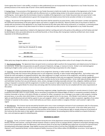Carrier agrees that Carrier's rules tariff(s), circular(s) or other publication(s) are not incorporated into this Agreement or any Tender Document. Any printed provisions on the reverse side of Carrier's forms shall be deemed deleted.

8. Savings Clause. If any provision of this Agreement or any Tender Document is held to be invalid, the remainder of the Agreement or the Tender Document shall remain in full force and effect with the offensive term or condition being stricken to the extent necessary to comply with any conflicting law. Carrier agrees that the termination, breach or invalidity of this Agreement or any Tender Document does not cause Carrier's rules tariff (s), circular(s) or other publication(s) to govern the transportation and related services that Carrier provides to Broker or its Customers.

9. Waiver. No provision of this Agreement or any Tender Document shall be waived by any party hereto, unless such waiver is written and signed by the authorized representative of the party against whom such waiver is sought to be enforced. Waiver by either party of any breach or failure to comply with any provision of this Agreement or any Tender Document by the other party shall not be construed as, or constitute, a continuing waiver of such provision, or a waiver of any other breach of or failure to comply with any other provision of this Agreement or any Tender Document.

10. Notices. All notices required by or related to this Agreement shall be in writing and sent to the parties at the addresses set forth below and shall be deemed given when personally delivered, by confirmed facsimile, or three (3) days after having been mailed by certified mail, return receipt requested, to the following addresses:

| Notice Addresses:                           |         |  |
|---------------------------------------------|---------|--|
| <b>Broker</b><br><b>Tyger Logistics LLC</b> | Carrier |  |
| 13101 Hwy 221, Woodruff, SC 29388           |         |  |
| 864-398-7726                                |         |  |
| 864-969-2939<br>Fax:                        | Fax:    |  |

Either party may change the address to which future notices are to be addressed by giving written notice of such change to the other party.

11. Non-Exclusive Dealing. This Agreement does not grant Carrier an exclusive right to perform the transportation and related services for Broker or its Customer(s). Broker does not guarantee any specific amount of shipments, tonnage, or revenue to Carrier. Broker is not restricted against tendering its freight to other carriers; Carrier is not restricted against performing transportation for other shippers.

12. Factoring. Carrier shall provide Broker written notice of any assignment, factoring, or other transfer of its right to receive payment arising under this Contract thirty (30) days prior to such assignment, factoring, or other transfer taking legal effect. Such written notice shall include the name and address of assignee/transferee, date, date assignment is to begin, and terms of the assignment, and shall be considered delivered upon receipt of such written notice by Broker. Carrier shall be allowed to have only one assignment, factoring or transfer legally effective at any one point in time, and no multiple assignments, factoring or transfers by the Carrier shall be permitted. Carrier shall indemnify Broker against and hold Broker harmless from any and all lawsuits, claims, actions, damages (including reasonable attorney's fees, obligation, liabilities and liens) arising or imposed in connection with the assignment or transfer of any account or right arising thereunder. Carrier also releases and waives any right, claim or action against Broker for amount due and owing under this Contract where Carrier has not complied with the notice requirements of this section.

13. Assignment of Rights to Payment by Carrier. Any factoring, assignment, pledge, hypothecation or granting of a security interest in Carrier's right to payment hereunder shall in no event modify, limit or terminate (i) Unlimited and Unilateral Rights of offset or recoupment provided to Broker or Customer hereunder or by law; or (ii) claims of Broker or customer for offset, recoupment, loss or damage to any cargo or other property, including personal injury, or any other claim which Broker or Customer may have against Carrier for any reason. All of Broker's and Customer's claims and rights are specifically preserved and shall be superior to any such assignee's, factor's or creditor's rights or claims to payment, regardless of any notice to Broker or Customer to the contrary. Carrier shall notify any such factor, secured creditor or assignee of Broker's and Customer's rights in this regard.

14. Miscellaneous. This Contract may be executed by facsimile and in one or more counterparts and each of such counterparts shall, for all purposes, be deemed to be an original, but all such counterparts shall together constitute by one and the same instrument. In the event either party incurs attorney's fees, costs or expenses in enforcing any of the provision of this Contract, or in exercising any right or remedy arising out of any breach of this Contract by the other party or their agents, subcontractors or representatives, the prevailing party shall be entitled to an award of attorney's fees, costs and expenses against he defaulting party.

#### **INSURANCE & LIABILITY**

15. Insurance. Carrier, at Carrier's expense, shall maintain during the term of this Agreement commercial automobile liability insurance for the benefit of Broker and Customer, covering all vehicles however owned or used by Carrier to transport Broker's shipments and property damage arising out of Carrier transportation under this Agreement, with minimum limits of not less than \$1,000,000 (one million) per occurrence for personal injury (including death) and property damage, cargo liability insurance with minimum limits of not less than \$100,000 (one hundred thousand) per shipment, and if requested by Broker, commercial general liability insurance of One millions dollars (\$1,000,000) per occurrence Carrier agrees to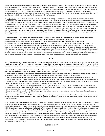defend, indemnify and hold harmless Broker from all loses, damages, fines, expenses, attorneys fees, actions or claims for injury to persons, including death, which Broker may incur arising out of this contract. Carrier shall provide Broker a certificate of insurance naming Broker as Certificate Holder and as additional named insured providing for notice prior to cancellation, and evidencing the foregoing coverage, prior to providing any services to Broker under this Agreement. The Carrier shall also maintain any insurance coverages required by any government body including worker's compensation (if applicable) for the types of transportation and related services specified. If Carrier fails to maintain such insurance, Broker may do so and charge Carrier for such cost and offset in accordance with this Agreement.

16. Cargo Liability. Carrier assumes liability as a common carrier for loss, damage to or destruction of the goods entrusted to it or its permitted subcontractor's care, custody or control and shall provide evidence of a BMC-32 Endorsement upon request. Carrier shall indemnify Broker for all indirect, special or consequential damages, or other special economic losses, including lost profits that might be awarded against Broker on any claim. Carrier shall pay to Broker, or it shall allow Broker to deduct from the amount Broker owes Carrier, for Customer's loss for the commodities so lost, delayed, damages or destroyed and the amount of any indemnity, as stated above. Carrier shall not allow any of the goods tendered to Carrier to be sold or made available for sale or otherwise disposed of in any salvage markets, employee stores or any other secondary outlets without Broker's prior written consent. Carrier agrees to either pay or settle all cargo claims within 60 days of the receipt of a claim. Carrier agrees to notify Broker's Claims Department in writing, immediately whenever an accident or potential claim occurs and provide Broker with any written reports, affidavits or other assistance necessary to assess the claim.

17. Indemnification. Carrier aggress to indemnify, defend and hold Broker and Customer, and their officers, employees, agents and directors, harmless from and against any and all fines, penalties, costs, demands, damages, (including bodily injury and property damage) losses, obligations, claims, liabilities and expenses (including reasonable attorney's fees) of whatever type or nature arising out of or related to: (i) any act or omission by Carrier or its subcontractors, (ii) Carrier's or any of its permitted subcontractor's performance or breach of this Agreement, and (iii) any use, operation, maintenance or possession of Customer's or Broker's owned or leased equipment by Carrier or any of its subcontractors. Carrier further agrees to indemnify, defend and hold Broker and Customer, together with their officers, employees, agents and directors, harmless from and against any and all fines, penalties, costs, losses, claims, obligations, liabilities, demands, damages and expenses (including reasonable attorney's fees) of whatever type or nature arising out of or related to Carrier's use, operation, maintenance or possession of Customers' or other third party owned or leased equipment used to transport the freight tendered by Broker herein or otherwise provided on behalf of a Customer. The obligations of Carrier under this Section shall survive termination of this Agreement.

#### **SERVICE**

18. Performance of Services. Carrier agrees to meet Broker's distinct transit and pricing requirements agreed to by the parties from time to time after the Effective Date as confirmed by the Broker's issuance of a Tender sheet, Pre-note, Rate Confirmation, Bill of Lading, Proof of Delivery or other load tender document that Broker may use from time to time (hereinafter "Tender Document"). Additional service requirements of Carrier are as follows:

• Carrier shall transport Broker's shipments without delay. Carrier shall immediately notify Broker of any likelihood of delay. Carrier shall transport all freight tendered by Broker only on equipment operated under Carrier's authority.

• Carrier shall comply with all of Broker's reasonable shipping instructions communicated to Carrier, and to comply with all applicable provisions of any provincial, federal, state and/or local law or ordinance and all lawful orders, rules and regulations issued thereunder.

• Carrier shall obtain from the consignee a complete, signed delivery receipt for each shipment, and it shall notify Broker immediately of any

exception on any document. Carrier shall send Broker delivery receipts and bills of lading within twenty-four (24) hours of delivery, as Broker directs. • If Broker requests Carrier to transport any shipment required to be placarded under DOT rules as a hazardous material, the additional provisions in Appendix A, including additional insurance requirements, shall apply for each such shipment.

• Documents for each of Broker's shipments shall name Broker as "broker" and Carrier as "carrier". If there is a wrongly worded document, the parties will treat it as if it showed Broker and "broker" and Carrier as "carrier". If there is a conflict between this Agreement and any transportation document related to Broker's shipment, this Agreement shall govern.

• Carrier is responsible for ensuring that all freight is properly blocked and braced for transportation to allow for the safe and damage-free delivery of the goods and to avoid damage to other property.

• Carrier is responsible to determine that the goods being shipped are in apparent good order and condition, to the extent that such is ascertainable through a visual examination of the exterior of the goods shipped, before loading and, in the event that they are not, Carrier will contact Broker for further instructions.

19. Bills of Lading and Delivery Receipts. Carrier will issue and sign a standard, uniform straight bill of lading or other receipt acceptable to Broker and Customer, upon acceptance of goods for transportation. All terms or conditions written or printed on the receipts or bills of lading which have not been specifically agreed to by Broker, either in this Contract or on any signed addenda hereto, shall have no binding effect against Broker. The receipt of bill of lading issued or executed by Carrier shall be prima-facie evidence of receipt of goods in good order and condition by Carrier unless otherwise noted on the face of said document. Carrier shall submit to Broker the original signed bill of lading evidencing good delivery of the goods, unless otherwise specifically agreed by Broker; and in that case, Carrier shall maintain custody of the original singed bills of lading and will provide them to Broker upon request. If Carrier fails to maintain and provide the bills of lading as agreed, Carrier assumes all risk of loss resulting from the failure to prove good delivery. In the event that Carrier's personnel are not allowed or afforded an opportunity to view and/or examine the good in order to ascertain the condition of those goods prior to loading on to Carrier's vehicle, Carrier's personnel shall immediately notify Broker and await instructions prior to transporting the shipment, and shall note on the bill of lading that they were not allowed or afforded an opportunity to view and/or examine the goods shipped.

#### **BUSINESS CONDUCT**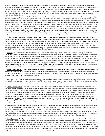20. Rates and Charges. The rates and charges that shall be in effect for all movements tendered to Carrier by Broker shall be as set forth on the Tender Document issued by the Broker and given to Carrier ("the Charges"). For purposes of this Agreement "Tender Document" shall be defined as the Bill of Lading and the rate corresponding confirmation contract sheet which originates with Broker and is sent to Carrier. Carrier represents, warrants and agrees that there are no other applicable rates or charges except those set forth on the Tender Document issued by Broker from time to time. Broker shall pay Carrier 30 days after Broker's receipt of Carrier's invoice, shipper's bill of lading, signed, clear delivery receipt and other document required by Broker

or Customer. Carrier agrees that it shall not bill the shipper/consignee or any third party directly nor shall it communicate in any manner, directly or indirectly, with Broker's customers, consignors, consignees or any party other than Broker, concerning the collection of any charges relating to transportation services accruing in connection with or as a consequence of this Contract; and waives any right it may otherwise have to proceed or commence any action against any Customer for the collection of any freight bills arising out of transportation services performed by Carrier under this Contract. Carrier will not accept payment from any shipper/consignee or any third party for providing transportation under this agreement. Carrier's performance of the work contained in the Tender Document, or commencement to perform, is confirmation of acceptance of the rate and Charges contained in that document. No other rates, terms, conditions, charges, fees, expenses or any other amounts shall be payable by Broker to Carrier unless such items are included in the written Tender Document. Nothing in any Bill of Lading or other Carrier issued document shall be binding upon Broker or Customer. Unless specifically included in the Tender Document, Broker shall not be required to make payment for any accessorial charges, equipment or escort rentals for the tendered movement, or any other special permitting or operating expenses.

21. Carrier's Right to Subcontract. Except as provided in this section, Carrier shall not, in any manner, sub-contract, broker or tender to any third party for transportation, any freight tendered to Carrier by Broker for transportation pursuant to this Contract. Carrier may subcontract the services that Carrier has agreed to perform for Broker under this Agreement, only if: (i) Carrier provides Broker prior written notice of such subcontracting, (ii) Broker acknowledges in writing, that the subcontracting may occur; and (iii) Carrier remains liable for the full and faithful performance of all obligations contained in this Agreement, including the obligation to indemnify Broker and Customer in accordance with Section 17, as if no such subcontracting has taken place. Nothing in this Agreement, or in this Section shall permit or allow Carrier to assign or delegate any of its other that as specifically provided in this section, duties or obligations under this Agreement.

22. Payment. On a monthly basis, Broker will issue Carrier an invoice for any undisputed amounts due and owing by Carrier pursuant to this Agreement. Separate invoices for repairs, penalties, and any other miscellaneous charges will be issued as necessary. Payment in full of an invoice shall be made by Carrier within fifteen (15) days from the date of the invoice. In the event Carrier contests any portion of any invoice, Carrier shall provide a written explanation and submit substantiating documentation to Broker within the fifteen (15) day time period. Payment for all portions of the invoice not being contested shall be made by Carrier within the fifteen (15) day time period. Carrier also agrees to pay Broker all costs it incurs to collect as past due invoice, including reasonable attorney's fees. Payment to Carrier by Broker shall be complete and final and without recourse. Broker may deduct from any payment any amount Carrier is indebted to Broker, including but not limited to those reasons such as freight loss on a any load, damage, and or/delay or detention claims on related or unrelated loads.

23. Waiver of Carrier's Lien. Carrier, for itself and on behalf of all of its agents or subcontractors, hereby waives and agrees not to assert or make any claim arising out of any motor carrier's lien which Carrier would otherwise be allowed to assert upon any cargo or goods which are tendered by Broker to Carrier or which are otherwise in the possession o r control of Carrier or its subcontractors or agents. Carrier shall not withhold delivery of any freight due to any dispute with Broker or Customer.

24. Insolvency. In the event of insolvency proceedings being instituted by or against Carrier, then Broker, any agent of Broker, or Customer may immediately enter upon any owned or leased property of Carrier where any cargo, goods or Customer owned or leased equipment may be found and take possession of such goods or owned or leased equipment without notice or liability to Carrier.

25. Set-Off and Recoupment. Broker or Customer, each for the other, may set off, withhold, recover or recoup: (i) any amounts payable to Carrier hereunder or under any other agreement or arrangement between Carrier and either Broker or Customer, or any of their affiliates, subsidiaries, or their parent, against (ii) any amounts due from Carrier to either Broker or Customer, or their respective subsidiaries, parent or affiliates, under this Agreement, under law, or which arises out of the transportation provided herein or any other agreement between Carrier on the one hand and Broker or Customer on their subsidiaries, parent, or affiliates on the other hand. In addition, in the event Broker makes payment to Carrier as provided herein and Carrier fails to make payment to any applicable subcontractor, then Broker may, at its option and sole discretion, pay such subcontractor and offset the amount paid against any amounts owed or to be owing to Carrier by Broker or any of Broker's affiliates. Failure to comply with any DOT, FMCSA policy, law or regulation, or any breach of any element of this contract, howsoever minor, may result in non payment for freight charges and/or set off and recoupment claims.

26. Hostage Loads. For purposes of this Agreement "hostage loads" is defined as the Carrier refusing to immediately release shipper's freight upon demand or otherwise exerting unauthorized control over freight, refusal to deliver a load at the scheduled time and place of delivery, refusing to provide Broker with information on the location of shipper's freight or refusing to deliver,

or failure to release or produce such freight. In the event that Carrier does hold freight hostage, Carrier agrees to pay Broker \$5,000.00 for each day that freight is held. Carrier agrees that such amount constitutes reasonable liquidated damages for damage to Broker's reputation with the shipper and/or others. Broker shall be entitled to all other available or alternative remedies at law or equity in the case of hostage loads.

27. Entire Agreement. This Agreement, with the Tender Documents issued by Broker constitutes the entire agreement between the parties and supersedes all contemporaneous oral agreement and all prior oral and written communications, agreements and contracts between Carrier and Broker with respect to the subject matter of this Agreement. Any provisions on any Carrier-provided form whether before or after the execution of this Agreement, shall be deemed null and void and of no effect and shall not modify the terms and conditions of this Agreement. Broker may, from time to time, modify or amend the terms or conditions of this Contract, or the specific Broker companies which are parties to this Contract by means of a written amendment which it shall promptly mail or otherwise transmit to Carrier. Said modification or amendment shall become effective three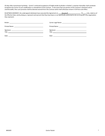(3) days after transmission by Broker. Carrier's continued acceptance of freight tender by Broker or Broker's customer thereafter shall constitute acceptance by Carrier of such modification or amendment of this Contract. In the event that any portion of this Contract is declared void or unenforceable, then such provision shall be deemed severed form this Contract which shall otherwise remain in full force and effect.

IN WITNESS WHEREOF, the undersigned individuals have executed this Agreement at Woodruff , SC (*city, state*) as of the Effective Date, and by doing so, represent and warrant that they have been or are specifically authorized to do so on behalf o the organization they represent.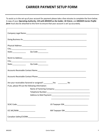### **CARRIER PAYMENT SETUP FORM**

To assist us in the set-up of your account for payment please take a few minutes to complete the form below. A copy of your *Operating Authority*, *COI with BROKER as the holder*, *W-9 form*, and *BROKER Carrier Profile form* must also be attached to this form to ensure that your account is set-up accurately.

| Physical Address: 1988 - 1999 - 1999 - 1999 - 1999 - 1999 - 1999 - 1999 - 1999 - 1999 - 1999 - 1999 - 1999 - 1 |  |  |
|----------------------------------------------------------------------------------------------------------------|--|--|
|                                                                                                                |  |  |
|                                                                                                                |  |  |
|                                                                                                                |  |  |
|                                                                                                                |  |  |
|                                                                                                                |  |  |
| Are your receivables factored or assigned? _____________Yes __________________ No                              |  |  |
| If yes, please fill out the following information:                                                             |  |  |
|                                                                                                                |  |  |
|                                                                                                                |  |  |
|                                                                                                                |  |  |
| SCAC Code:                                                                                                     |  |  |
|                                                                                                                |  |  |
| Canadian Safety/CVOR#:____________________                                                                     |  |  |